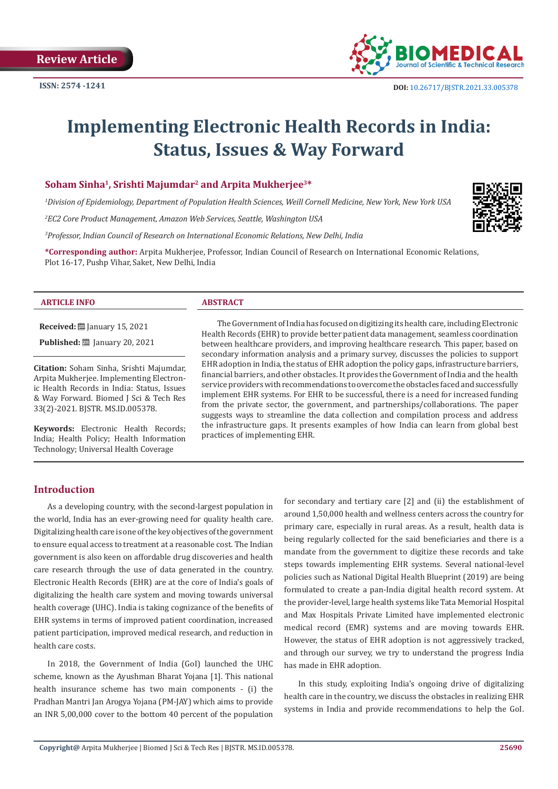

# **Implementing Electronic Health Records in India: Status, Issues & Way Forward**

#### **Soham Sinha1, Srishti Majumdar2 and Arpita Mukherjee3\***

*1 Division of Epidemiology, Department of Population Health Sciences, Weill Cornell Medicine, New York, New York USA*

*2 EC2 Core Product Management, Amazon Web Services, Seattle, Washington USA*

*3 Professor, Indian Council of Research on International Economic Relations, New Delhi, India*

**\*Corresponding author:** Arpita Mukherjee, Professor, Indian Council of Research on International Economic Relations, Plot 16-17, Pushp Vihar, Saket, New Delhi, India

#### **ARTICLE INFO ABSTRACT**

**Received:** ■ January 15, 2021 **Published:** ■ January 20, 2021

**Citation:** Soham Sinha, Srishti Majumdar, Arpita Mukherjee. Implementing Electronic Health Records in India: Status, Issues & Way Forward. Biomed J Sci & Tech Res 33(2)-2021. BJSTR. MS.ID.005378.

**Keywords:** Electronic Health Records; India; Health Policy; Health Information Technology; Universal Health Coverage

 The Government of India has focused on digitizing its health care, including Electronic Health Records (EHR) to provide better patient data management, seamless coordination between healthcare providers, and improving healthcare research. This paper, based on secondary information analysis and a primary survey, discusses the policies to support EHR adoption in India, the status of EHR adoption the policy gaps, infrastructure barriers, financial barriers, and other obstacles. It provides the Government of India and the health service providers with recommendations to overcome the obstacles faced and successfully implement EHR systems. For EHR to be successful, there is a need for increased funding from the private sector, the government, and partnerships/collaborations. The paper suggests ways to streamline the data collection and compilation process and address the infrastructure gaps. It presents examples of how India can learn from global best practices of implementing EHR.

### **Introduction**

As a developing country, with the second-largest population in the world, India has an ever-growing need for quality health care. Digitalizing health care is one of the key objectives of the government to ensure equal access to treatment at a reasonable cost. The Indian government is also keen on affordable drug discoveries and health care research through the use of data generated in the country. Electronic Health Records (EHR) are at the core of India's goals of digitalizing the health care system and moving towards universal health coverage (UHC). India is taking cognizance of the benefits of EHR systems in terms of improved patient coordination, increased patient participation, improved medical research, and reduction in health care costs.

In 2018, the Government of India (GoI) launched the UHC scheme, known as the Ayushman Bharat Yojana [1]. This national health insurance scheme has two main components - (i) the Pradhan Mantri Jan Arogya Yojana (PM-JAY) which aims to provide an INR 5,00,000 cover to the bottom 40 percent of the population

for secondary and tertiary care [2] and (ii) the establishment of around 1,50,000 health and wellness centers across the country for primary care, especially in rural areas. As a result, health data is being regularly collected for the said beneficiaries and there is a mandate from the government to digitize these records and take steps towards implementing EHR systems. Several national-level policies such as National Digital Health Blueprint (2019) are being formulated to create a pan-India digital health record system. At the provider-level, large health systems like Tata Memorial Hospital and Max Hospitals Private Limited have implemented electronic medical record (EMR) systems and are moving towards EHR. However, the status of EHR adoption is not aggressively tracked, and through our survey, we try to understand the progress India has made in EHR adoption.

In this study, exploiting India's ongoing drive of digitalizing health care in the country, we discuss the obstacles in realizing EHR systems in India and provide recommendations to help the GoI.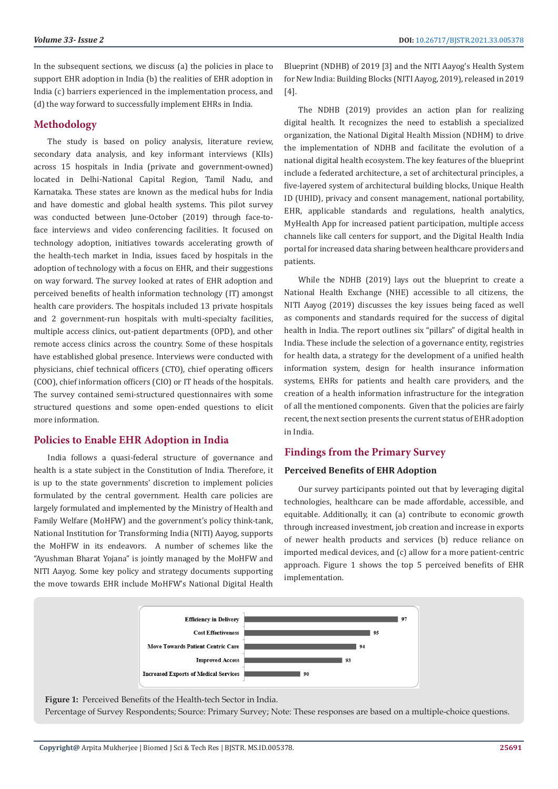In the subsequent sections, we discuss (a) the policies in place to support EHR adoption in India (b) the realities of EHR adoption in India (c) barriers experienced in the implementation process, and (d) the way forward to successfully implement EHRs in India.

# **Methodology**

The study is based on policy analysis, literature review, secondary data analysis, and key informant interviews (KIIs) across 15 hospitals in India (private and government-owned) located in Delhi-National Capital Region, Tamil Nadu, and Karnataka. These states are known as the medical hubs for India and have domestic and global health systems. This pilot survey was conducted between June-October (2019) through face-toface interviews and video conferencing facilities. It focused on technology adoption, initiatives towards accelerating growth of the health-tech market in India, issues faced by hospitals in the adoption of technology with a focus on EHR, and their suggestions on way forward. The survey looked at rates of EHR adoption and perceived benefits of health information technology (IT) amongst health care providers. The hospitals included 13 private hospitals and 2 government-run hospitals with multi-specialty facilities, multiple access clinics, out-patient departments (OPD), and other remote access clinics across the country. Some of these hospitals have established global presence. Interviews were conducted with physicians, chief technical officers (CTO), chief operating officers (COO), chief information officers (CIO) or IT heads of the hospitals. The survey contained semi-structured questionnaires with some structured questions and some open-ended questions to elicit more information.

# **Policies to Enable EHR Adoption in India**

India follows a quasi-federal structure of governance and health is a state subject in the Constitution of India. Therefore, it is up to the state governments' discretion to implement policies formulated by the central government. Health care policies are largely formulated and implemented by the Ministry of Health and Family Welfare (MoHFW) and the government's policy think-tank, National Institution for Transforming India (NITI) Aayog, supports the MoHFW in its endeavors. A number of schemes like the "Ayushman Bharat Yojana" is jointly managed by the MoHFW and NITI Aayog. Some key policy and strategy documents supporting the move towards EHR include MoHFW's National Digital Health

Blueprint (NDHB) of 2019 [3] and the NITI Aayog's Health System for New India: Building Blocks (NITI Aayog, 2019), released in 2019 [4].

The NDHB (2019) provides an action plan for realizing digital health. It recognizes the need to establish a specialized organization, the National Digital Health Mission (NDHM) to drive the implementation of NDHB and facilitate the evolution of a national digital health ecosystem. The key features of the blueprint include a federated architecture, a set of architectural principles, a five-layered system of architectural building blocks, Unique Health ID (UHID), privacy and consent management, national portability, EHR, applicable standards and regulations, health analytics, MyHealth App for increased patient participation, multiple access channels like call centers for support, and the Digital Health India portal for increased data sharing between healthcare providers and patients.

While the NDHB (2019) lays out the blueprint to create a National Health Exchange (NHE) accessible to all citizens, the NITI Aayog (2019) discusses the key issues being faced as well as components and standards required for the success of digital health in India. The report outlines six "pillars" of digital health in India. These include the selection of a governance entity, registries for health data, a strategy for the development of a unified health information system, design for health insurance information systems, EHRs for patients and health care providers, and the creation of a health information infrastructure for the integration of all the mentioned components. Given that the policies are fairly recent, the next section presents the current status of EHR adoption in India.

# **Findings from the Primary Survey**

# **Perceived Benefits of EHR Adoption**

Our survey participants pointed out that by leveraging digital technologies, healthcare can be made affordable, accessible, and equitable. Additionally, it can (a) contribute to economic growth through increased investment, job creation and increase in exports of newer health products and services (b) reduce reliance on imported medical devices, and (c) allow for a more patient-centric approach. Figure 1 shows the top 5 perceived benefits of EHR implementation.



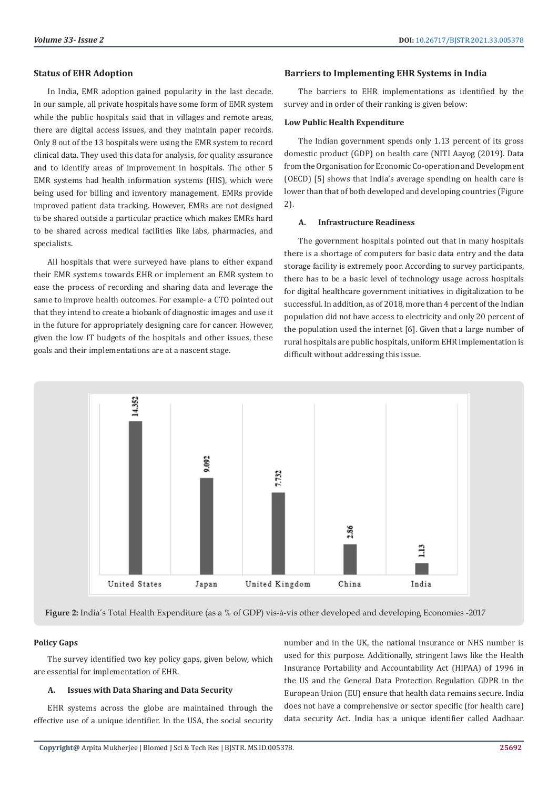#### **Status of EHR Adoption**

In India, EMR adoption gained popularity in the last decade. In our sample, all private hospitals have some form of EMR system while the public hospitals said that in villages and remote areas, there are digital access issues, and they maintain paper records. Only 8 out of the 13 hospitals were using the EMR system to record clinical data. They used this data for analysis, for quality assurance and to identify areas of improvement in hospitals. The other 5 EMR systems had health information systems (HIS), which were being used for billing and inventory management. EMRs provide improved patient data tracking. However, EMRs are not designed to be shared outside a particular practice which makes EMRs hard to be shared across medical facilities like labs, pharmacies, and specialists.

All hospitals that were surveyed have plans to either expand their EMR systems towards EHR or implement an EMR system to ease the process of recording and sharing data and leverage the same to improve health outcomes. For example- a CTO pointed out that they intend to create a biobank of diagnostic images and use it in the future for appropriately designing care for cancer. However, given the low IT budgets of the hospitals and other issues, these goals and their implementations are at a nascent stage.

#### **Barriers to Implementing EHR Systems in India**

The barriers to EHR implementations as identified by the survey and in order of their ranking is given below:

#### **Low Public Health Expenditure**

The Indian government spends only 1.13 percent of its gross domestic product (GDP) on health care (NITI Aayog (2019). Data from the Organisation for Economic Co-operation and Development (OECD) [5] shows that India's average spending on health care is lower than that of both developed and developing countries (Figure 2).

### **A. Infrastructure Readiness**

The government hospitals pointed out that in many hospitals there is a shortage of computers for basic data entry and the data storage facility is extremely poor. According to survey participants, there has to be a basic level of technology usage across hospitals for digital healthcare government initiatives in digitalization to be successful. In addition, as of 2018, more than 4 percent of the Indian population did not have access to electricity and only 20 percent of the population used the internet [6]. Given that a large number of rural hospitals are public hospitals, uniform EHR implementation is difficult without addressing this issue.



**Figure 2:** India's Total Health Expenditure (as a % of GDP) vis-à-vis other developed and developing Economies -2017

#### **Policy Gaps**

The survey identified two key policy gaps, given below, which are essential for implementation of EHR.

#### **A. Issues with Data Sharing and Data Security**

EHR systems across the globe are maintained through the effective use of a unique identifier. In the USA, the social security number and in the UK, the national insurance or NHS number is used for this purpose. Additionally, stringent laws like the Health Insurance Portability and Accountability Act (HIPAA) of 1996 in the US and the General Data Protection Regulation GDPR in the European Union (EU) ensure that health data remains secure. India does not have a comprehensive or sector specific (for health care) data security Act. India has a unique identifier called Aadhaar.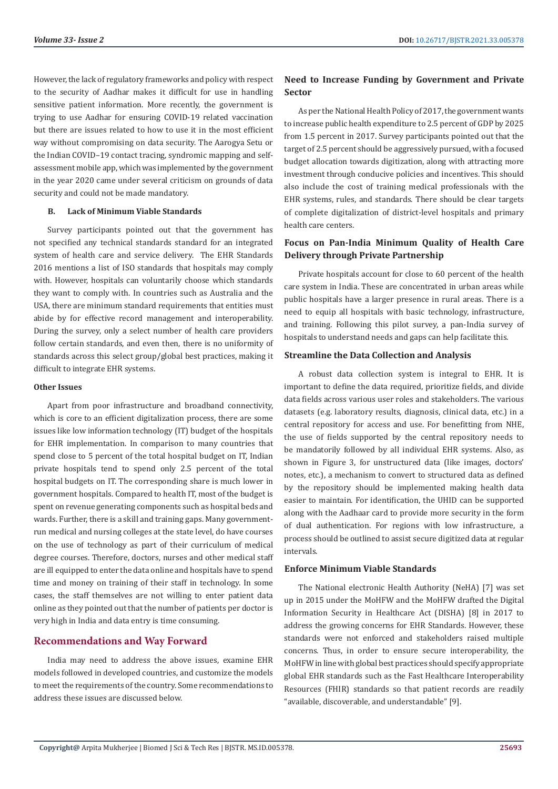However, the lack of regulatory frameworks and policy with respect to the security of Aadhar makes it difficult for use in handling sensitive patient information. More recently, the government is trying to use Aadhar for ensuring COVID-19 related vaccination but there are issues related to how to use it in the most efficient way without compromising on data security. The Aarogya Setu or the Indian COVID–19 contact tracing, syndromic mapping and selfassessment mobile app, which was implemented by the government in the year 2020 came under several criticism on grounds of data security and could not be made mandatory.

#### **B. Lack of Minimum Viable Standards**

Survey participants pointed out that the government has not specified any technical standards standard for an integrated system of health care and service delivery. The EHR Standards 2016 mentions a list of ISO standards that hospitals may comply with. However, hospitals can voluntarily choose which standards they want to comply with. In countries such as Australia and the USA, there are minimum standard requirements that entities must abide by for effective record management and interoperability. During the survey, only a select number of health care providers follow certain standards, and even then, there is no uniformity of standards across this select group/global best practices, making it difficult to integrate EHR systems.

#### **Other Issues**

Apart from poor infrastructure and broadband connectivity, which is core to an efficient digitalization process, there are some issues like low information technology (IT) budget of the hospitals for EHR implementation. In comparison to many countries that spend close to 5 percent of the total hospital budget on IT, Indian private hospitals tend to spend only 2.5 percent of the total hospital budgets on IT. The corresponding share is much lower in government hospitals. Compared to health IT, most of the budget is spent on revenue generating components such as hospital beds and wards. Further, there is a skill and training gaps. Many governmentrun medical and nursing colleges at the state level, do have courses on the use of technology as part of their curriculum of medical degree courses. Therefore, doctors, nurses and other medical staff are ill equipped to enter the data online and hospitals have to spend time and money on training of their staff in technology. In some cases, the staff themselves are not willing to enter patient data online as they pointed out that the number of patients per doctor is very high in India and data entry is time consuming.

### **Recommendations and Way Forward**

India may need to address the above issues, examine EHR models followed in developed countries, and customize the models to meet the requirements of the country. Some recommendations to address these issues are discussed below.

## **Need to Increase Funding by Government and Private Sector**

As per the National Health Policy of 2017, the government wants to increase public health expenditure to 2.5 percent of GDP by 2025 from 1.5 percent in 2017. Survey participants pointed out that the target of 2.5 percent should be aggressively pursued, with a focused budget allocation towards digitization, along with attracting more investment through conducive policies and incentives. This should also include the cost of training medical professionals with the EHR systems, rules, and standards. There should be clear targets of complete digitalization of district-level hospitals and primary health care centers.

# **Focus on Pan-India Minimum Quality of Health Care Delivery through Private Partnership**

Private hospitals account for close to 60 percent of the health care system in India. These are concentrated in urban areas while public hospitals have a larger presence in rural areas. There is a need to equip all hospitals with basic technology, infrastructure, and training. Following this pilot survey, a pan-India survey of hospitals to understand needs and gaps can help facilitate this.

### **Streamline the Data Collection and Analysis**

A robust data collection system is integral to EHR. It is important to define the data required, prioritize fields, and divide data fields across various user roles and stakeholders. The various datasets (e.g. laboratory results, diagnosis, clinical data, etc.) in a central repository for access and use. For benefitting from NHE, the use of fields supported by the central repository needs to be mandatorily followed by all individual EHR systems. Also, as shown in Figure 3, for unstructured data (like images, doctors' notes, etc.), a mechanism to convert to structured data as defined by the repository should be implemented making health data easier to maintain. For identification, the UHID can be supported along with the Aadhaar card to provide more security in the form of dual authentication. For regions with low infrastructure, a process should be outlined to assist secure digitized data at regular intervals.

#### **Enforce Minimum Viable Standards**

The National electronic Health Authority (NeHA) [7] was set up in 2015 under the MoHFW and the MoHFW drafted the Digital Information Security in Healthcare Act (DISHA) [8] in 2017 to address the growing concerns for EHR Standards. However, these standards were not enforced and stakeholders raised multiple concerns. Thus, in order to ensure secure interoperability, the MoHFW in line with global best practices should specify appropriate global EHR standards such as the Fast Healthcare Interoperability Resources (FHIR) standards so that patient records are readily "available, discoverable, and understandable" [9].